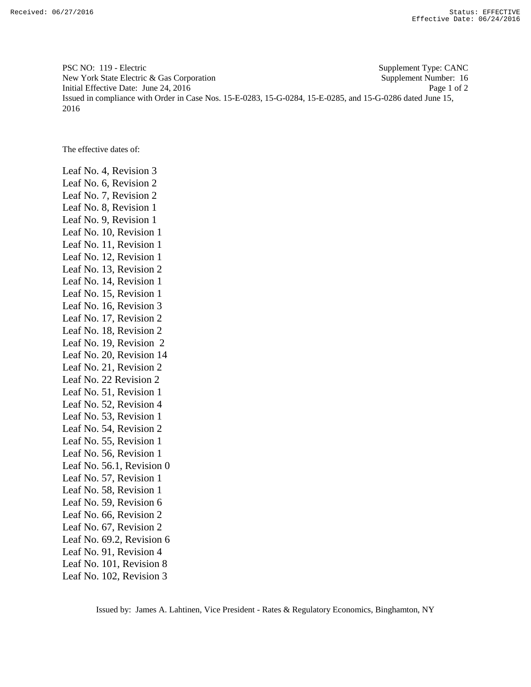PSC NO: 119 - Electric Supplement Type: CANC New York State Electric & Gas Corporation Supplement Number: 16 Initial Effective Date: June 24, 2016 Page 1 of 2 Issued in compliance with Order in Case Nos. 15-E-0283, 15-G-0284, 15-E-0285, and 15-G-0286 dated June 15, 2016

The effective dates of:

Leaf No. 4, Revision 3 Leaf No. 6, Revision 2 Leaf No. 7, Revision 2 Leaf No. 8, Revision 1 Leaf No. 9, Revision 1 Leaf No. 10, Revision 1 Leaf No. 11, Revision 1 Leaf No. 12, Revision 1 Leaf No. 13, Revision 2 Leaf No. 14, Revision 1 Leaf No. 15, Revision 1 Leaf No. 16, Revision 3 Leaf No. 17, Revision 2 Leaf No. 18, Revision 2 Leaf No. 19, Revision 2 Leaf No. 20, Revision 14 Leaf No. 21, Revision 2 Leaf No. 22 Revision 2 Leaf No. 51, Revision 1 Leaf No. 52, Revision 4 Leaf No. 53, Revision 1 Leaf No. 54, Revision 2 Leaf No. 55, Revision 1 Leaf No. 56, Revision 1 Leaf No. 56.1, Revision 0 Leaf No. 57, Revision 1 Leaf No. 58, Revision 1 Leaf No. 59, Revision 6 Leaf No. 66, Revision 2 Leaf No. 67, Revision 2 Leaf No. 69.2, Revision 6 Leaf No. 91, Revision 4 Leaf No. 101, Revision 8 Leaf No. 102, Revision 3